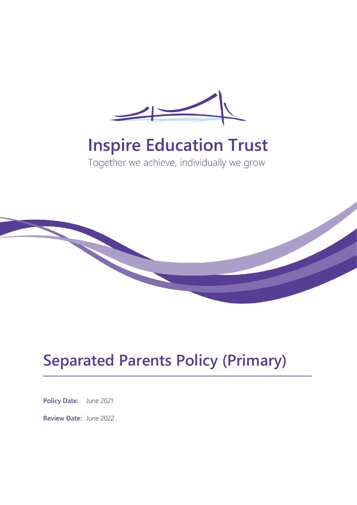

# **Inspire Education Trust**

Together we achieve, individually we grow



# **Separated Parents Policy (Primary)**

**Policy Date:** June 2021

**Review Date:** June 2022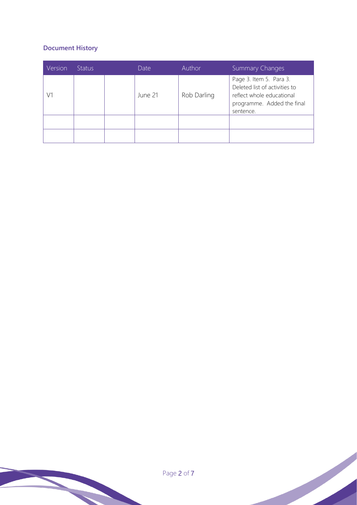# **Document History**

| Version | <b>Status</b> | Date    | Author      | <b>Summary Changes</b>                                                                                                           |
|---------|---------------|---------|-------------|----------------------------------------------------------------------------------------------------------------------------------|
| V1      |               | June 21 | Rob Darling | Page 3. Item 5. Para 3.<br>Deleted list of activities to<br>reflect whole educational<br>programme. Added the final<br>sentence. |
|         |               |         |             |                                                                                                                                  |
|         |               |         |             |                                                                                                                                  |

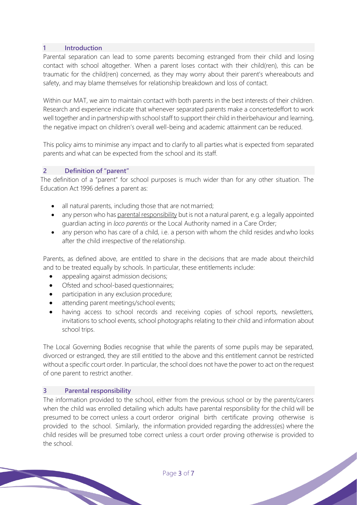# **1 Introduction**

Parental separation can lead to some parents becoming estranged from their child and losing contact with school altogether. When a parent loses contact with their child(ren), this can be traumatic for the child(ren) concerned, as they may worry about their parent's whereabouts and safety, and may blame themselves for relationship breakdown and loss of contact.

Within our MAT, we aim to maintain contact with both parents in the best interests of their children. Research and experience indicate that whenever separated parents make a concertedeffort to work well together and in partnership with school staff to support their child in theirbehaviour and learning, the negative impact on children's overall well-being and academic attainment can be reduced.

This policy aims to minimise any impact and to clarify to all parties what is expected from separated parents and what can be expected from the school and its staff.

## **2 Definition of "parent"**

The definition of a "parent" for school purposes is much wider than for any other situation. The Education Act 1996 defines a parent as:

- all natural parents, including those that are not married;
- any person who has parental responsibility but is not a natural parent, e.g. a legally appointed guardian acting in *loco parentis* or the Local Authority named in a Care Order;
- any person who has care of a child, i.e. a person with whom the child resides and who looks after the child irrespective of the relationship.

Parents, as defined above, are entitled to share in the decisions that are made about theirchild and to be treated equally by schools. In particular, these entitlements include:

- appealing against admission decisions;
- Ofsted and school-based questionnaires;
- participation in any exclusion procedure;
- attending parent meetings/school events;
- having access to school records and receiving copies of school reports, newsletters, invitations to school events, school photographs relating to their child and information about school trips.

The Local Governing Bodies recognise that while the parents of some pupils may be separated, divorced or estranged, they are still entitled to the above and this entitlement cannot be restricted without a specific court order. In particular, the school does not have the power to act on the request of one parent to restrict another.

#### **3 Parental responsibility**

The information provided to the school, either from the previous school or by the parents/carers when the child was enrolled detailing which adults have parental responsibility for the child will be presumed to be correct unless a court orderor original birth certificate proving otherwise is provided to the school. Similarly, the information provided regarding the address(es) where the child resides will be presumed tobe correct unless a court order proving otherwise is provided to the school.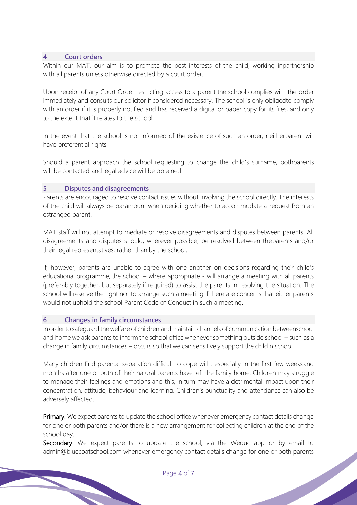## **4 Court orders**

Within our MAT, our aim is to promote the best interests of the child, working inpartnership with all parents unless otherwise directed by a court order.

Upon receipt of any Court Order restricting access to a parent the school complies with the order immediately and consults our solicitor if considered necessary. The school is only obligedto comply with an order if it is properly notified and has received a digital or paper copy for its files, and only to the extent that it relates to the school.

In the event that the school is not informed of the existence of such an order, neitherparent will have preferential rights.

Should a parent approach the school requesting to change the child's surname, bothparents will be contacted and legal advice will be obtained.

#### **5 Disputes and disagreements**

Parents are encouraged to resolve contact issues without involving the school directly. The interests of the child will always be paramount when deciding whether to accommodate a request from an estranged parent.

MAT staff will not attempt to mediate or resolve disagreements and disputes between parents. All disagreements and disputes should, wherever possible, be resolved between theparents and/or their legal representatives, rather than by the school.

If, however, parents are unable to agree with one another on decisions regarding their child's educational programme, the school – where appropriate - will arrange a meeting with all parents (preferably together, but separately if required) to assist the parents in resolving the situation. The school will reserve the right not to arrange such a meeting if there are concerns that either parents would not uphold the school Parent Code of Conduct in such a meeting.

# **6 Changes in family circumstances**

In order to safeguard thewelfare of children and maintain channels of communication betweenschool and home we ask parents to inform the school office whenever something outside school – such as a change in family circumstances – occurs so that we can sensitively support the childin school.

Many children find parental separation difficult to cope with, especially in the first few weeksand months after one or both of their natural parents have left the family home. Children may struggle to manage their feelings and emotions and this, in turn may have a detrimental impact upon their concentration, attitude, behaviour and learning. Children's punctuality and attendance can also be adversely affected.

Primary: We expect parents to update the school office whenever emergency contact details change for one or both parents and/or there is a new arrangement for collecting children at the end of the school day.

Secondary: We expect parents to update the school, via the Weduc app or by email to admin@bluecoatschool.com whenever emergency contact details change for one or both parents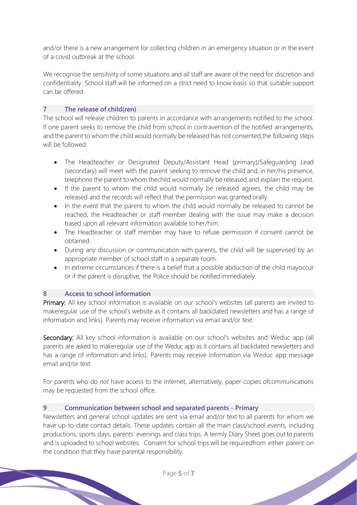and/or there is a new arrangement for collecting children in an emergency situation or in the event of a covid outbreak at the school.

We recognise the sensitivity of some situations and all staff are aware of the need for discretion and confidentiality. School staff will be informed on a strict need to know basis so that suitable support can be offered.

# **7 The release of child(ren)**

The school will release children to parents in accordance with arrangements notified to the school. If one parent seeks to remove the child from school in contravention of the notified arrangements, and the parent to whom the child would normally be released has not consented,the following steps will be followed:

- The Headteacher or Designated Deputy/Assistant Head (primary)/Safeguarding Lead (secondary) will meet with the parent seeking to remove the child and, in her/his presence, telephone the parent to whom thechild would normally be released and explain the request.
- If the parent to whom the child would normally be released agrees, the child may be released and the records will reflect that the permission was granted orally.
- In the event that the parent to whom the child would normally be released to cannot be reached, the Headteacher or staff member dealing with the issue may make a decision based upon all relevant information available to her/him.
- The Headteacher or staff member may have to refuse permission if consent cannot be obtained.
- During any discussion or communication with parents, the child will be supervised by an appropriate member of school staff in a separate room.
- In extreme circumstances if there is a belief that a possible abduction of the child mayoccur or if the parent is disruptive, the Police should be notified immediately.

# **8 Access to school information**

Primary: All key school information is available on our school's websites (all parents are invited to makeregular use of the school's website as it contains all backdated newsletters and has a range of information and links). Parents may receive information via email and/or text.

Secondary: All key school information is available on our school's websites and Weduc app (all parents are asked to make regular use of the Weduc app as it contains all backdated newsletters and has a range of information and links). Parents may receive information via Weduc app message email and/or text.

For parents who do *not* have access to the Internet, alternatively, paper copies ofcommunications may be requested from the school office.

# **9 Communication between school and separated parents - Primary**

Newsletters and general school updates are sent via email and/or text to all parents for whom we have up-to-date contact details. These updates contain all the main class/school events, including productions, sports days, parents' evenings and class trips. A termly Diary Sheet goes out to parents and is uploaded to school websites. Consent for school trips will be requiredfrom either parent on the condition that they have parental responsibility.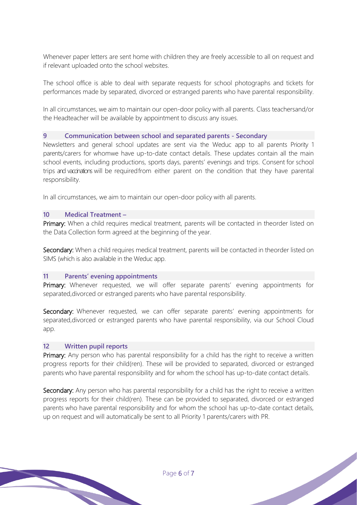Whenever paper letters are sent home with children they are freely accessible to all on request and if relevant uploaded onto the school websites.

The school office is able to deal with separate requests for school photographs and tickets for performances made by separated, divorced or estranged parents who have parental responsibility.

In all circumstances, we aim to maintain our open-door policy with all parents. Class teachersand/or the Headteacher will be available by appointment to discuss any issues.

#### **9 Communication between school and separated parents - Secondary**

Newsletters and general school updates are sent via the Weduc app to all parents Priority 1 parents/carers for whomwe have up-to-date contact details. These updates contain all the main school events, including productions, sports days, parents' evenings and trips. Consent for school trips and vaccinations will be required from either parent on the condition that they have parental responsibility.

In all circumstances, we aim to maintain our open-door policy with all parents.

## **10 Medical Treatment –**

Primary: When a child requires medical treatment, parents will be contacted in theorder listed on the Data Collection form agreed at the beginning of the year.

Secondary: When a child requires medical treatment, parents will be contacted in theorder listed on SIMS (which is also available in the Weduc app.

#### **11 Parents' evening appointments**

Primary: Whenever requested, we will offer separate parents' evening appointments for separated,divorced or estranged parents who have parental responsibility.

Secondary: Whenever requested, we can offer separate parents' evening appointments for separated,divorced or estranged parents who have parental responsibility, via our School Cloud app.

#### **12 Written pupil reports**

Primary: Any person who has parental responsibility for a child has the right to receive a written progress reports for their child(ren). These will be provided to separated, divorced or estranged parents who have parental responsibility and for whom the school has up-to-date contact details.

Secondary: Any person who has parental responsibility for a child has the right to receive a written progress reports for their child(ren). These can be provided to separated, divorced or estranged parents who have parental responsibility and for whom the school has up-to-date contact details, up on request and will automatically be sent to all Priority 1 parents/carers with PR.